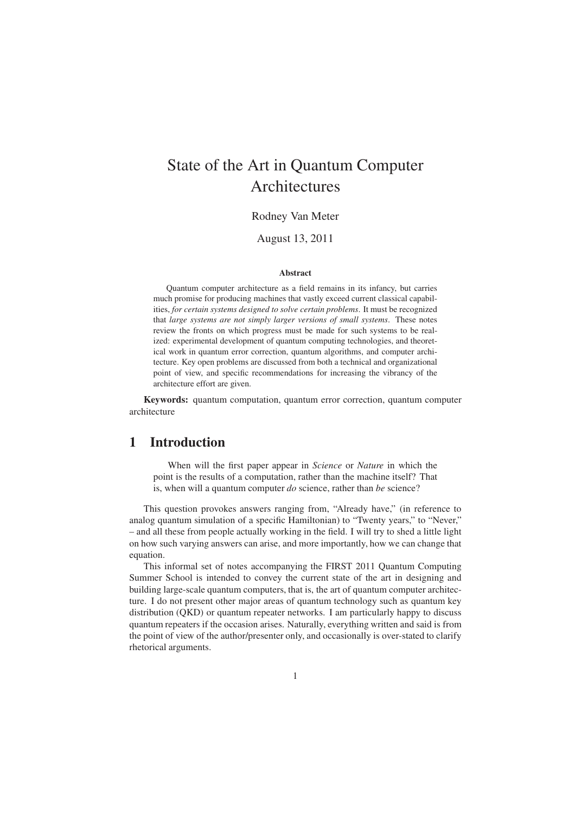# State of the Art in Quantum Computer Architectures

#### Rodney Van Meter

### August 13, 2011

#### **Abstract**

Quantum computer architecture as a field remains in its infancy, but carries much promise for producing machines that vastly exceed current classical capabilities, *for certain systems designed to solve certain problems*. It must be recognized that *large systems are not simply larger versions of small systems*. These notes review the fronts on which progress must be made for such systems to be realized: experimental development of quantum computing technologies, and theoretical work in quantum error correction, quantum algorithms, and computer architecture. Key open problems are discussed from both a technical and organizational point of view, and specific recommendations for increasing the vibrancy of the architecture effort are given.

**Keywords:** quantum computation, quantum error correction, quantum computer architecture

# **1 Introduction**

When will the first paper appear in *Science* or *Nature* in which the point is the results of a computation, rather than the machine itself? That is, when will a quantum computer *do* science, rather than *be* science?

This question provokes answers ranging from, "Already have," (in reference to analog quantum simulation of a specific Hamiltonian) to "Twenty years," to "Never," – and all these from people actually working in the field. I will try to shed a little light on how such varying answers can arise, and more importantly, how we can change that equation.

This informal set of notes accompanying the FIRST 2011 Quantum Computing Summer School is intended to convey the current state of the art in designing and building large-scale quantum computers, that is, the art of quantum computer architecture. I do not present other major areas of quantum technology such as quantum key distribution (QKD) or quantum repeater networks. I am particularly happy to discuss quantum repeaters if the occasion arises. Naturally, everything written and said is from the point of view of the author/presenter only, and occasionally is over-stated to clarify rhetorical arguments.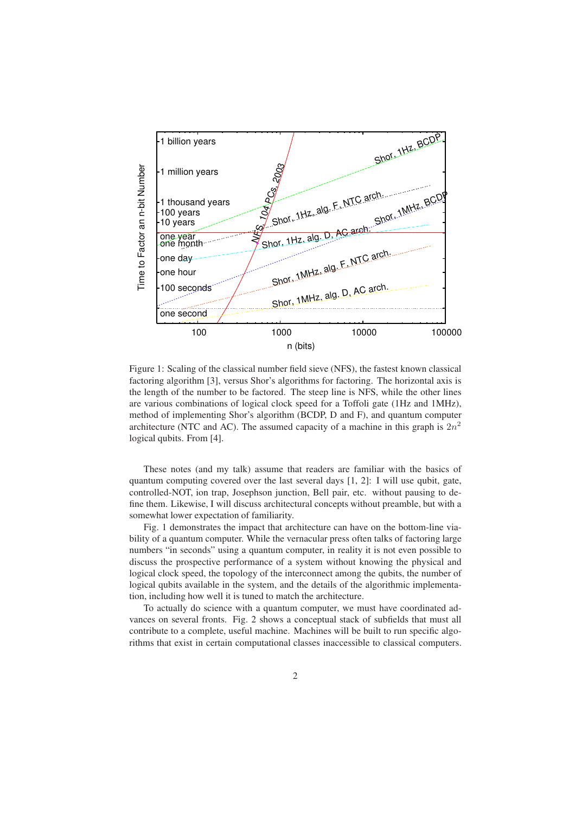

Figure 1: Scaling of the classical number field sieve (NFS), the fastest known classical factoring algorithm [3], versus Shor's algorithms for factoring. The horizontal axis is the length of the number to be factored. The steep line is NFS, while the other lines are various combinations of logical clock speed for a Toffoli gate (1Hz and 1MHz), method of implementing Shor's algorithm (BCDP, D and F), and quantum computer architecture (NTC and AC). The assumed capacity of a machine in this graph is  $2n^2$ logical qubits. From [4].

These notes (and my talk) assume that readers are familiar with the basics of quantum computing covered over the last several days [1, 2]: I will use qubit, gate, controlled-NOT, ion trap, Josephson junction, Bell pair, etc. without pausing to define them. Likewise, I will discuss architectural concepts without preamble, but with a somewhat lower expectation of familiarity.

Fig. 1 demonstrates the impact that architecture can have on the bottom-line viability of a quantum computer. While the vernacular press often talks of factoring large numbers "in seconds" using a quantum computer, in reality it is not even possible to discuss the prospective performance of a system without knowing the physical and logical clock speed, the topology of the interconnect among the qubits, the number of logical qubits available in the system, and the details of the algorithmic implementation, including how well it is tuned to match the architecture.

To actually do science with a quantum computer, we must have coordinated advances on several fronts. Fig. 2 shows a conceptual stack of subfields that must all contribute to a complete, useful machine. Machines will be built to run specific algorithms that exist in certain computational classes inaccessible to classical computers.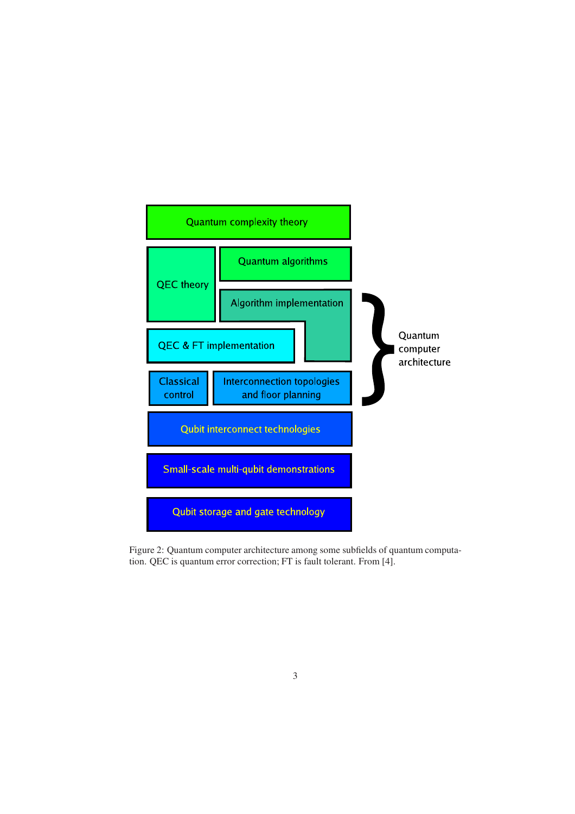

Figure 2: Quantum computer architecture among some subfields of quantum computation. QEC is quantum error correction; FT is fault tolerant. From [4].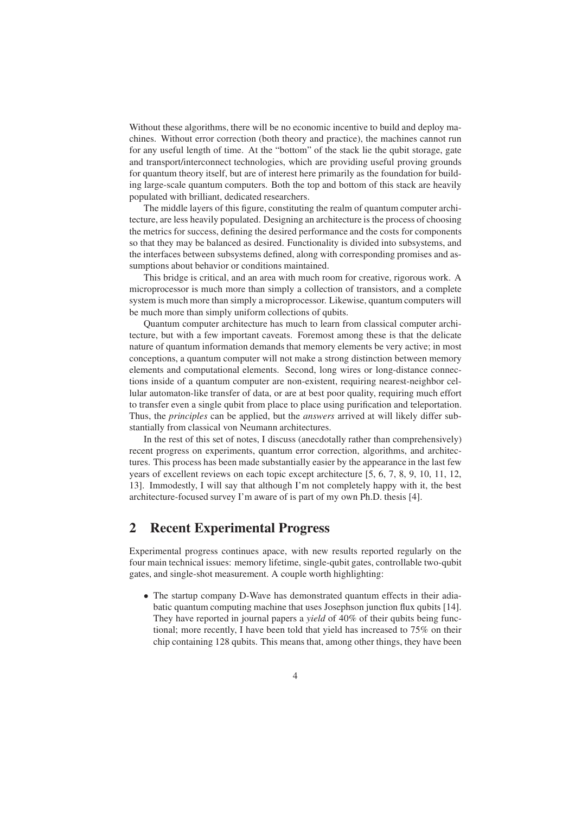Without these algorithms, there will be no economic incentive to build and deploy machines. Without error correction (both theory and practice), the machines cannot run for any useful length of time. At the "bottom" of the stack lie the qubit storage, gate and transport/interconnect technologies, which are providing useful proving grounds for quantum theory itself, but are of interest here primarily as the foundation for building large-scale quantum computers. Both the top and bottom of this stack are heavily populated with brilliant, dedicated researchers.

The middle layers of this figure, constituting the realm of quantum computer architecture, are less heavily populated. Designing an architecture is the process of choosing the metrics for success, defining the desired performance and the costs for components so that they may be balanced as desired. Functionality is divided into subsystems, and the interfaces between subsystems defined, along with corresponding promises and assumptions about behavior or conditions maintained.

This bridge is critical, and an area with much room for creative, rigorous work. A microprocessor is much more than simply a collection of transistors, and a complete system is much more than simply a microprocessor. Likewise, quantum computers will be much more than simply uniform collections of qubits.

Quantum computer architecture has much to learn from classical computer architecture, but with a few important caveats. Foremost among these is that the delicate nature of quantum information demands that memory elements be very active; in most conceptions, a quantum computer will not make a strong distinction between memory elements and computational elements. Second, long wires or long-distance connections inside of a quantum computer are non-existent, requiring nearest-neighbor cellular automaton-like transfer of data, or are at best poor quality, requiring much effort to transfer even a single qubit from place to place using purification and teleportation. Thus, the *principles* can be applied, but the *answers* arrived at will likely differ substantially from classical von Neumann architectures.

In the rest of this set of notes, I discuss (anecdotally rather than comprehensively) recent progress on experiments, quantum error correction, algorithms, and architectures. This process has been made substantially easier by the appearance in the last few years of excellent reviews on each topic except architecture [5, 6, 7, 8, 9, 10, 11, 12, 13]. Immodestly, I will say that although I'm not completely happy with it, the best architecture-focused survey I'm aware of is part of my own Ph.D. thesis [4].

# **2 Recent Experimental Progress**

Experimental progress continues apace, with new results reported regularly on the four main technical issues: memory lifetime, single-qubit gates, controllable two-qubit gates, and single-shot measurement. A couple worth highlighting:

• The startup company D-Wave has demonstrated quantum effects in their adiabatic quantum computing machine that uses Josephson junction flux qubits [14]. They have reported in journal papers a *yield* of 40% of their qubits being functional; more recently, I have been told that yield has increased to 75% on their chip containing 128 qubits. This means that, among other things, they have been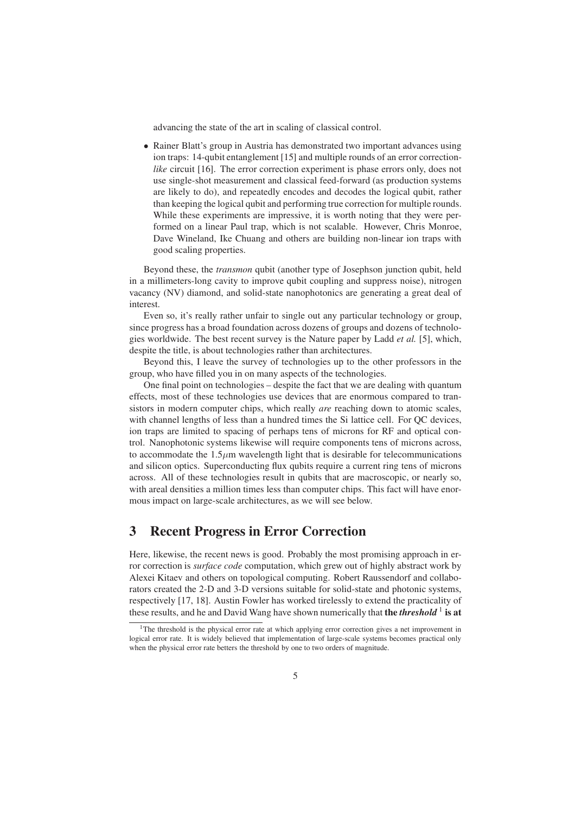advancing the state of the art in scaling of classical control.

• Rainer Blatt's group in Austria has demonstrated two important advances using ion traps: 14-qubit entanglement [15] and multiple rounds of an error correction*like* circuit [16]. The error correction experiment is phase errors only, does not use single-shot measurement and classical feed-forward (as production systems are likely to do), and repeatedly encodes and decodes the logical qubit, rather than keeping the logical qubit and performing true correction for multiple rounds. While these experiments are impressive, it is worth noting that they were performed on a linear Paul trap, which is not scalable. However, Chris Monroe, Dave Wineland, Ike Chuang and others are building non-linear ion traps with good scaling properties.

Beyond these, the *transmon* qubit (another type of Josephson junction qubit, held in a millimeters-long cavity to improve qubit coupling and suppress noise), nitrogen vacancy (NV) diamond, and solid-state nanophotonics are generating a great deal of interest.

Even so, it's really rather unfair to single out any particular technology or group, since progress has a broad foundation across dozens of groups and dozens of technologies worldwide. The best recent survey is the Nature paper by Ladd *et al.* [5], which, despite the title, is about technologies rather than architectures.

Beyond this, I leave the survey of technologies up to the other professors in the group, who have filled you in on many aspects of the technologies.

One final point on technologies – despite the fact that we are dealing with quantum effects, most of these technologies use devices that are enormous compared to transistors in modern computer chips, which really *are* reaching down to atomic scales, with channel lengths of less than a hundred times the Si lattice cell. For QC devices, ion traps are limited to spacing of perhaps tens of microns for RF and optical control. Nanophotonic systems likewise will require components tens of microns across, to accommodate the  $1.5\mu$ m wavelength light that is desirable for telecommunications and silicon optics. Superconducting flux qubits require a current ring tens of microns across. All of these technologies result in qubits that are macroscopic, or nearly so, with areal densities a million times less than computer chips. This fact will have enormous impact on large-scale architectures, as we will see below.

# **3 Recent Progress in Error Correction**

Here, likewise, the recent news is good. Probably the most promising approach in error correction is *surface code* computation, which grew out of highly abstract work by Alexei Kitaev and others on topological computing. Robert Raussendorf and collaborators created the 2-D and 3-D versions suitable for solid-state and photonic systems, respectively [17, 18]. Austin Fowler has worked tirelessly to extend the practicality of these results, and he and David Wang have shown numerically that **the** *threshold* <sup>1</sup> **is at**

<sup>&</sup>lt;sup>1</sup>The threshold is the physical error rate at which applying error correction gives a net improvement in logical error rate. It is widely believed that implementation of large-scale systems becomes practical only when the physical error rate betters the threshold by one to two orders of magnitude.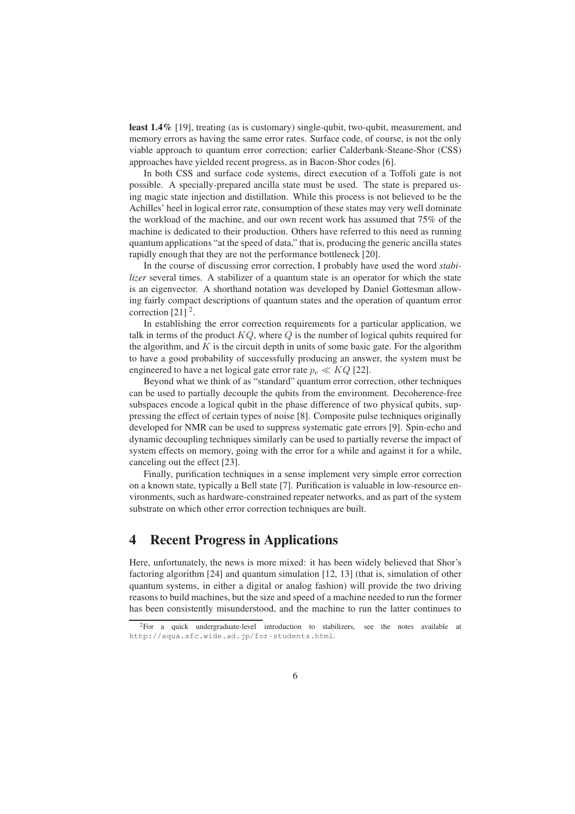**least 1.4%** [19], treating (as is customary) single-qubit, two-qubit, measurement, and memory errors as having the same error rates. Surface code, of course, is not the only viable approach to quantum error correction; earlier Calderbank-Steane-Shor (CSS) approaches have yielded recent progress, as in Bacon-Shor codes [6].

In both CSS and surface code systems, direct execution of a Toffoli gate is not possible. A specially-prepared ancilla state must be used. The state is prepared using magic state injection and distillation. While this process is not believed to be the Achilles' heel in logical error rate, consumption of these states may very well dominate the workload of the machine, and our own recent work has assumed that 75% of the machine is dedicated to their production. Others have referred to this need as running quantum applications "at the speed of data," that is, producing the generic ancilla states rapidly enough that they are not the performance bottleneck [20].

In the course of discussing error correction, I probably have used the word *stabilizer* several times. A stabilizer of a quantum state is an operator for which the state is an eigenvector. A shorthand notation was developed by Daniel Gottesman allowing fairly compact descriptions of quantum states and the operation of quantum error correction  $[21]$ <sup>2</sup>.

In establishing the error correction requirements for a particular application, we talk in terms of the product  $KQ$ , where  $Q$  is the number of logical qubits required for the algorithm, and  $K$  is the circuit depth in units of some basic gate. For the algorithm to have a good probability of successfully producing an answer, the system must be engineered to have a net logical gate error rate  $p_e \ll KQ$  [22].

Beyond what we think of as "standard" quantum error correction, other techniques can be used to partially decouple the qubits from the environment. Decoherence-free subspaces encode a logical qubit in the phase difference of two physical qubits, suppressing the effect of certain types of noise [8]. Composite pulse techniques originally developed for NMR can be used to suppress systematic gate errors [9]. Spin-echo and dynamic decoupling techniques similarly can be used to partially reverse the impact of system effects on memory, going with the error for a while and against it for a while, canceling out the effect [23].

Finally, purification techniques in a sense implement very simple error correction on a known state, typically a Bell state [7]. Purification is valuable in low-resource environments, such as hardware-constrained repeater networks, and as part of the system substrate on which other error correction techniques are built.

# **4 Recent Progress in Applications**

Here, unfortunately, the news is more mixed: it has been widely believed that Shor's factoring algorithm [24] and quantum simulation [12, 13] (that is, simulation of other quantum systems, in either a digital or analog fashion) will provide the two driving reasons to build machines, but the size and speed of a machine needed to run the former has been consistently misunderstood, and the machine to run the latter continues to

<sup>2</sup>For a quick undergraduate-level introduction to stabilizers, see the notes available at http://aqua.sfc.wide.ad.jp/for-students.html.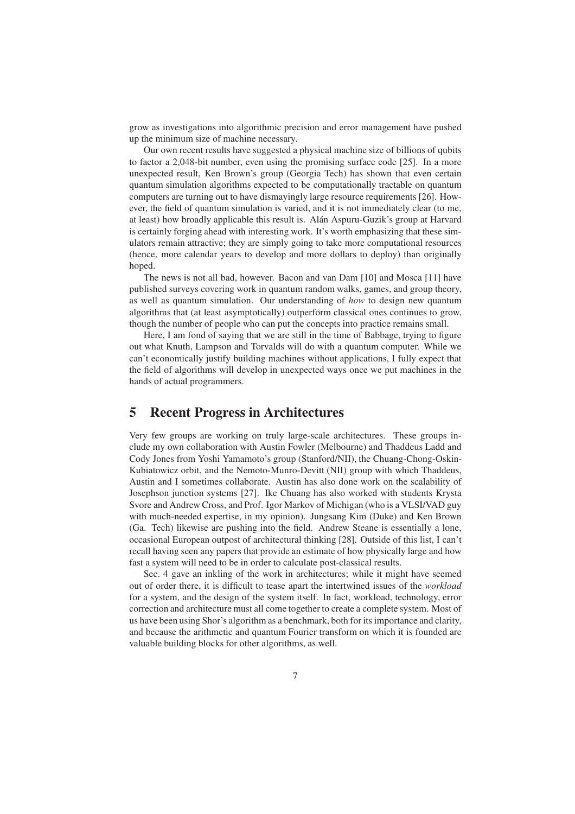grow as investigations into algorithmic precision and error management have pushed up the minimum size of machine necessary.

Our own recent results have suggested a physical machine size of billions of qubits to factor a 2,048-bit number, even using the promising surface code [25]. In a more unexpected result, Ken Brown's group (Georgia Tech) has shown that even certain quantum simulation algorithms expected to be computationally tractable on quantum computers are turning out to have dismayingly large resource requirements [26]. However, the field of quantum simulation is varied, and it is not immediately clear (to me, at least) how broadly applicable this result is. Al´an Aspuru-Guzik's group at Harvard is certainly forging ahead with interesting work. It's worth emphasizing that these simulators remain attractive; they are simply going to take more computational resources (hence, more calendar years to develop and more dollars to deploy) than originally hoped.

The news is not all bad, however. Bacon and van Dam [10] and Mosca [11] have published surveys covering work in quantum random walks, games, and group theory, as well as quantum simulation. Our understanding of *how* to design new quantum algorithms that (at least asymptotically) outperform classical ones continues to grow, though the number of people who can put the concepts into practice remains small.

Here, I am fond of saying that we are still in the time of Babbage, trying to figure out what Knuth, Lampson and Torvalds will do with a quantum computer. While we can't economically justify building machines without applications, I fully expect that the field of algorithms will develop in unexpected ways once we put machines in the hands of actual programmers.

# **5 Recent Progress in Architectures**

Very few groups are working on truly large-scale architectures. These groups include my own collaboration with Austin Fowler (Melbourne) and Thaddeus Ladd and Cody Jones from Yoshi Yamamoto's group (Stanford/NII), the Chuang-Chong-Oskin-Kubiatowicz orbit, and the Nemoto-Munro-Devitt (NII) group with which Thaddeus, Austin and I sometimes collaborate. Austin has also done work on the scalability of Josephson junction systems [27]. Ike Chuang has also worked with students Krysta Svore and Andrew Cross, and Prof. Igor Markov of Michigan (who is a VLSI/VAD guy with much-needed expertise, in my opinion). Jungsang Kim (Duke) and Ken Brown (Ga. Tech) likewise are pushing into the field. Andrew Steane is essentially a lone, occasional European outpost of architectural thinking [28]. Outside of this list, I can't recall having seen any papers that provide an estimate of how physically large and how fast a system will need to be in order to calculate post-classical results.

Sec. 4 gave an inkling of the work in architectures; while it might have seemed out of order there, it is difficult to tease apart the intertwined issues of the *workload* for a system, and the design of the system itself. In fact, workload, technology, error correction and architecture must all come together to create a complete system. Most of us have been using Shor's algorithm as a benchmark, both for its importance and clarity, and because the arithmetic and quantum Fourier transform on which it is founded are valuable building blocks for other algorithms, as well.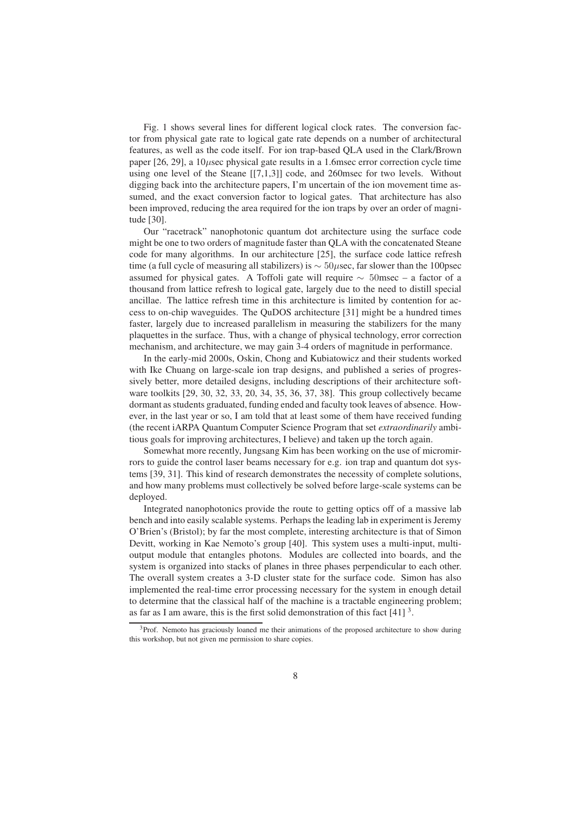Fig. 1 shows several lines for different logical clock rates. The conversion factor from physical gate rate to logical gate rate depends on a number of architectural features, as well as the code itself. For ion trap-based QLA used in the Clark/Brown paper  $[26, 29]$ , a 10 $\mu$ sec physical gate results in a 1.6msec error correction cycle time using one level of the Steane [[7,1,3]] code, and 260msec for two levels. Without digging back into the architecture papers, I'm uncertain of the ion movement time assumed, and the exact conversion factor to logical gates. That architecture has also been improved, reducing the area required for the ion traps by over an order of magnitude [30].

Our "racetrack" nanophotonic quantum dot architecture using the surface code might be one to two orders of magnitude faster than QLA with the concatenated Steane code for many algorithms. In our architecture [25], the surface code lattice refresh time (a full cycle of measuring all stabilizers) is  $\sim 50\mu$ sec, far slower than the 100psec assumed for physical gates. A Toffoli gate will require ∼ 50msec – a factor of a thousand from lattice refresh to logical gate, largely due to the need to distill special ancillae. The lattice refresh time in this architecture is limited by contention for access to on-chip waveguides. The QuDOS architecture [31] might be a hundred times faster, largely due to increased parallelism in measuring the stabilizers for the many plaquettes in the surface. Thus, with a change of physical technology, error correction mechanism, and architecture, we may gain 3-4 orders of magnitude in performance.

In the early-mid 2000s, Oskin, Chong and Kubiatowicz and their students worked with Ike Chuang on large-scale ion trap designs, and published a series of progressively better, more detailed designs, including descriptions of their architecture software toolkits [29, 30, 32, 33, 20, 34, 35, 36, 37, 38]. This group collectively became dormant as students graduated, funding ended and faculty took leaves of absence. However, in the last year or so, I am told that at least some of them have received funding (the recent iARPA Quantum Computer Science Program that set *extraordinarily* ambitious goals for improving architectures, I believe) and taken up the torch again.

Somewhat more recently, Jungsang Kim has been working on the use of micromirrors to guide the control laser beams necessary for e.g. ion trap and quantum dot systems [39, 31]. This kind of research demonstrates the necessity of complete solutions, and how many problems must collectively be solved before large-scale systems can be deployed.

Integrated nanophotonics provide the route to getting optics off of a massive lab bench and into easily scalable systems. Perhaps the leading lab in experiment is Jeremy O'Brien's (Bristol); by far the most complete, interesting architecture is that of Simon Devitt, working in Kae Nemoto's group [40]. This system uses a multi-input, multioutput module that entangles photons. Modules are collected into boards, and the system is organized into stacks of planes in three phases perpendicular to each other. The overall system creates a 3-D cluster state for the surface code. Simon has also implemented the real-time error processing necessary for the system in enough detail to determine that the classical half of the machine is a tractable engineering problem; as far as I am aware, this is the first solid demonstration of this fact  $[41]$ <sup>3</sup>.

<sup>&</sup>lt;sup>3</sup>Prof. Nemoto has graciously loaned me their animations of the proposed architecture to show during this workshop, but not given me permission to share copies.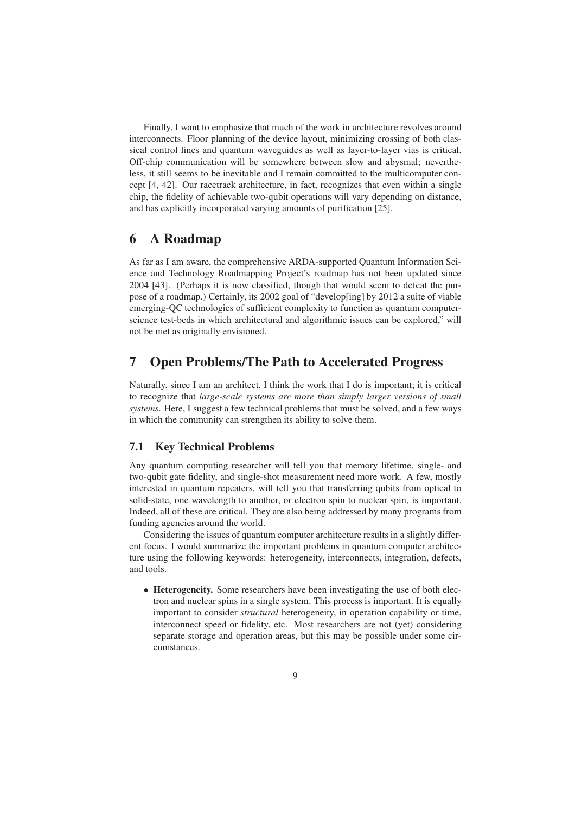Finally, I want to emphasize that much of the work in architecture revolves around interconnects. Floor planning of the device layout, minimizing crossing of both classical control lines and quantum waveguides as well as layer-to-layer vias is critical. Off-chip communication will be somewhere between slow and abysmal; nevertheless, it still seems to be inevitable and I remain committed to the multicomputer concept [4, 42]. Our racetrack architecture, in fact, recognizes that even within a single chip, the fidelity of achievable two-qubit operations will vary depending on distance, and has explicitly incorporated varying amounts of purification [25].

# **6 A Roadmap**

As far as I am aware, the comprehensive ARDA-supported Quantum Information Science and Technology Roadmapping Project's roadmap has not been updated since 2004 [43]. (Perhaps it is now classified, though that would seem to defeat the purpose of a roadmap.) Certainly, its 2002 goal of "develop[ing] by 2012 a suite of viable emerging-QC technologies of sufficient complexity to function as quantum computerscience test-beds in which architectural and algorithmic issues can be explored," will not be met as originally envisioned.

# **7 Open Problems/The Path to Accelerated Progress**

Naturally, since I am an architect, I think the work that I do is important; it is critical to recognize that *large-scale systems are more than simply larger versions of small systems*. Here, I suggest a few technical problems that must be solved, and a few ways in which the community can strengthen its ability to solve them.

#### **7.1 Key Technical Problems**

Any quantum computing researcher will tell you that memory lifetime, single- and two-qubit gate fidelity, and single-shot measurement need more work. A few, mostly interested in quantum repeaters, will tell you that transferring qubits from optical to solid-state, one wavelength to another, or electron spin to nuclear spin, is important. Indeed, all of these are critical. They are also being addressed by many programs from funding agencies around the world.

Considering the issues of quantum computer architecture results in a slightly different focus. I would summarize the important problems in quantum computer architecture using the following keywords: heterogeneity, interconnects, integration, defects, and tools.

• **Heterogeneity.** Some researchers have been investigating the use of both electron and nuclear spins in a single system. This process is important. It is equally important to consider *structural* heterogeneity, in operation capability or time, interconnect speed or fidelity, etc. Most researchers are not (yet) considering separate storage and operation areas, but this may be possible under some circumstances.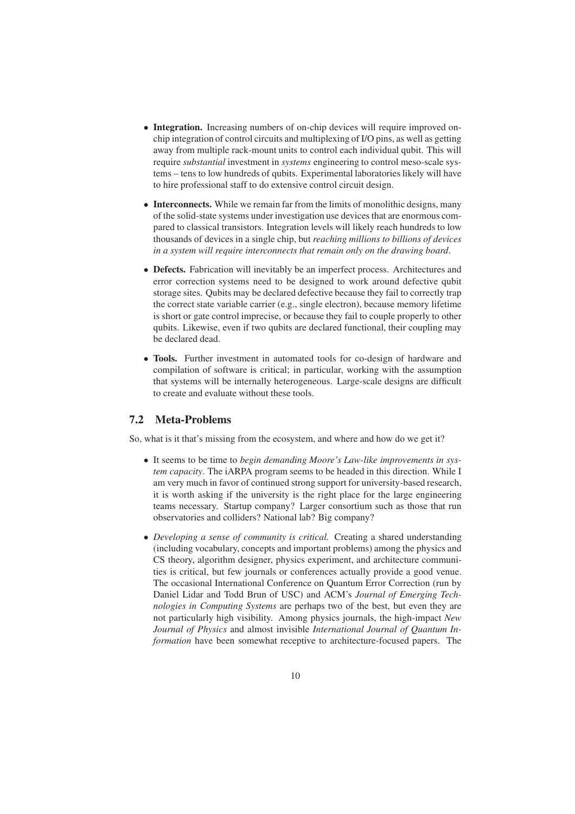- Integration. Increasing numbers of on-chip devices will require improved onchip integration of control circuits and multiplexing of I/O pins, as well as getting away from multiple rack-mount units to control each individual qubit. This will require *substantial* investment in *systems* engineering to control meso-scale systems – tens to low hundreds of qubits. Experimental laboratories likely will have to hire professional staff to do extensive control circuit design.
- **Interconnects.** While we remain far from the limits of monolithic designs, many of the solid-state systems under investigation use devices that are enormous compared to classical transistors. Integration levels will likely reach hundreds to low thousands of devices in a single chip, but *reaching millions to billions of devices in a system will require interconnects that remain only on the drawing board*.
- **Defects.** Fabrication will inevitably be an imperfect process. Architectures and error correction systems need to be designed to work around defective qubit storage sites. Qubits may be declared defective because they fail to correctly trap the correct state variable carrier (e.g., single electron), because memory lifetime is short or gate control imprecise, or because they fail to couple properly to other qubits. Likewise, even if two qubits are declared functional, their coupling may be declared dead.
- **Tools.** Further investment in automated tools for co-design of hardware and compilation of software is critical; in particular, working with the assumption that systems will be internally heterogeneous. Large-scale designs are difficult to create and evaluate without these tools.

#### **7.2 Meta-Problems**

So, what is it that's missing from the ecosystem, and where and how do we get it?

- It seems to be time to *begin demanding Moore's Law-like improvements in system capacity*. The iARPA program seems to be headed in this direction. While I am very much in favor of continued strong support for university-based research, it is worth asking if the university is the right place for the large engineering teams necessary. Startup company? Larger consortium such as those that run observatories and colliders? National lab? Big company?
- *Developing a sense of community is critical.* Creating a shared understanding (including vocabulary, concepts and important problems) among the physics and CS theory, algorithm designer, physics experiment, and architecture communities is critical, but few journals or conferences actually provide a good venue. The occasional International Conference on Quantum Error Correction (run by Daniel Lidar and Todd Brun of USC) and ACM's *Journal of Emerging Technologies in Computing Systems* are perhaps two of the best, but even they are not particularly high visibility. Among physics journals, the high-impact *New Journal of Physics* and almost invisible *International Journal of Quantum Information* have been somewhat receptive to architecture-focused papers. The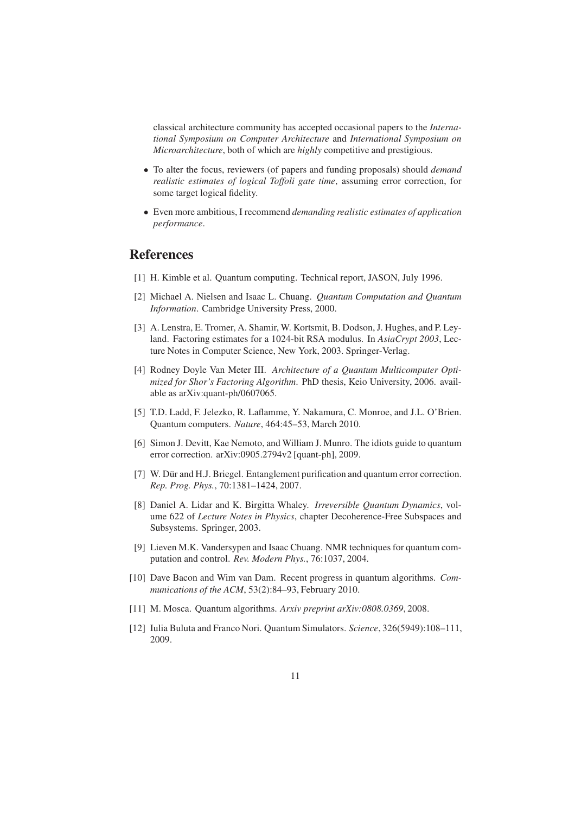classical architecture community has accepted occasional papers to the *International Symposium on Computer Architecture* and *International Symposium on Microarchitecture*, both of which are *highly* competitive and prestigious.

- To alter the focus, reviewers (of papers and funding proposals) should *demand realistic estimates of logical Toffoli gate time*, assuming error correction, for some target logical fidelity.
- Even more ambitious, I recommend *demanding realistic estimates of application performance*.

## **References**

- [1] H. Kimble et al. Quantum computing. Technical report, JASON, July 1996.
- [2] Michael A. Nielsen and Isaac L. Chuang. *Quantum Computation and Quantum Information*. Cambridge University Press, 2000.
- [3] A. Lenstra, E. Tromer, A. Shamir, W. Kortsmit, B. Dodson, J. Hughes, and P. Leyland. Factoring estimates for a 1024-bit RSA modulus. In *AsiaCrypt 2003*, Lecture Notes in Computer Science, New York, 2003. Springer-Verlag.
- [4] Rodney Doyle Van Meter III. *Architecture of a Quantum Multicomputer Optimized for Shor's Factoring Algorithm*. PhD thesis, Keio University, 2006. available as arXiv:quant-ph/0607065.
- [5] T.D. Ladd, F. Jelezko, R. Laflamme, Y. Nakamura, C. Monroe, and J.L. O'Brien. Quantum computers. *Nature*, 464:45–53, March 2010.
- [6] Simon J. Devitt, Kae Nemoto, and William J. Munro. The idiots guide to quantum error correction. arXiv:0905.2794v2 [quant-ph], 2009.
- [7] W. Dür and H.J. Briegel. Entanglement purification and quantum error correction. *Rep. Prog. Phys.*, 70:1381–1424, 2007.
- [8] Daniel A. Lidar and K. Birgitta Whaley. *Irreversible Quantum Dynamics*, volume 622 of *Lecture Notes in Physics*, chapter Decoherence-Free Subspaces and Subsystems. Springer, 2003.
- [9] Lieven M.K. Vandersypen and Isaac Chuang. NMR techniques for quantum computation and control. *Rev. Modern Phys.*, 76:1037, 2004.
- [10] Dave Bacon and Wim van Dam. Recent progress in quantum algorithms. *Communications of the ACM*, 53(2):84–93, February 2010.
- [11] M. Mosca. Quantum algorithms. *Arxiv preprint arXiv:0808.0369*, 2008.
- [12] Iulia Buluta and Franco Nori. Quantum Simulators. *Science*, 326(5949):108–111, 2009.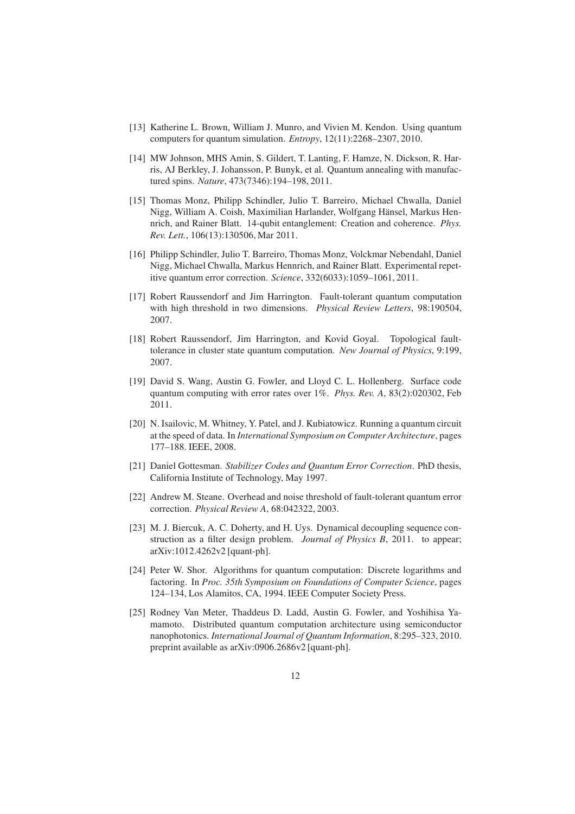- [13] Katherine L. Brown, William J. Munro, and Vivien M. Kendon. Using quantum computers for quantum simulation. *Entropy*, 12(11):2268–2307, 2010.
- [14] MW Johnson, MHS Amin, S. Gildert, T. Lanting, F. Hamze, N. Dickson, R. Harris, AJ Berkley, J. Johansson, P. Bunyk, et al. Quantum annealing with manufactured spins. *Nature*, 473(7346):194–198, 2011.
- [15] Thomas Monz, Philipp Schindler, Julio T. Barreiro, Michael Chwalla, Daniel Nigg, William A. Coish, Maximilian Harlander, Wolfgang Hänsel, Markus Hennrich, and Rainer Blatt. 14-qubit entanglement: Creation and coherence. *Phys. Rev. Lett.*, 106(13):130506, Mar 2011.
- [16] Philipp Schindler, Julio T. Barreiro, Thomas Monz, Volckmar Nebendahl, Daniel Nigg, Michael Chwalla, Markus Hennrich, and Rainer Blatt. Experimental repetitive quantum error correction. *Science*, 332(6033):1059–1061, 2011.
- [17] Robert Raussendorf and Jim Harrington. Fault-tolerant quantum computation with high threshold in two dimensions. *Physical Review Letters*, 98:190504, 2007.
- [18] Robert Raussendorf, Jim Harrington, and Kovid Goyal. Topological faulttolerance in cluster state quantum computation. *New Journal of Physics*, 9:199, 2007.
- [19] David S. Wang, Austin G. Fowler, and Lloyd C. L. Hollenberg. Surface code quantum computing with error rates over 1%. *Phys. Rev. A*, 83(2):020302, Feb 2011.
- [20] N. Isailovic, M. Whitney, Y. Patel, and J. Kubiatowicz. Running a quantum circuit at the speed of data. In *International Symposium on Computer Architecture*, pages 177–188. IEEE, 2008.
- [21] Daniel Gottesman. *Stabilizer Codes and Quantum Error Correction*. PhD thesis, California Institute of Technology, May 1997.
- [22] Andrew M. Steane. Overhead and noise threshold of fault-tolerant quantum error correction. *Physical Review A*, 68:042322, 2003.
- [23] M. J. Biercuk, A. C. Doherty, and H. Uys. Dynamical decoupling sequence construction as a filter design problem. *Journal of Physics B*, 2011. to appear; arXiv:1012.4262v2 [quant-ph].
- [24] Peter W. Shor. Algorithms for quantum computation: Discrete logarithms and factoring. In *Proc. 35th Symposium on Foundations of Computer Science*, pages 124–134, Los Alamitos, CA, 1994. IEEE Computer Society Press.
- [25] Rodney Van Meter, Thaddeus D. Ladd, Austin G. Fowler, and Yoshihisa Yamamoto. Distributed quantum computation architecture using semiconductor nanophotonics. *International Journal of Quantum Information*, 8:295–323, 2010. preprint available as arXiv:0906.2686v2 [quant-ph].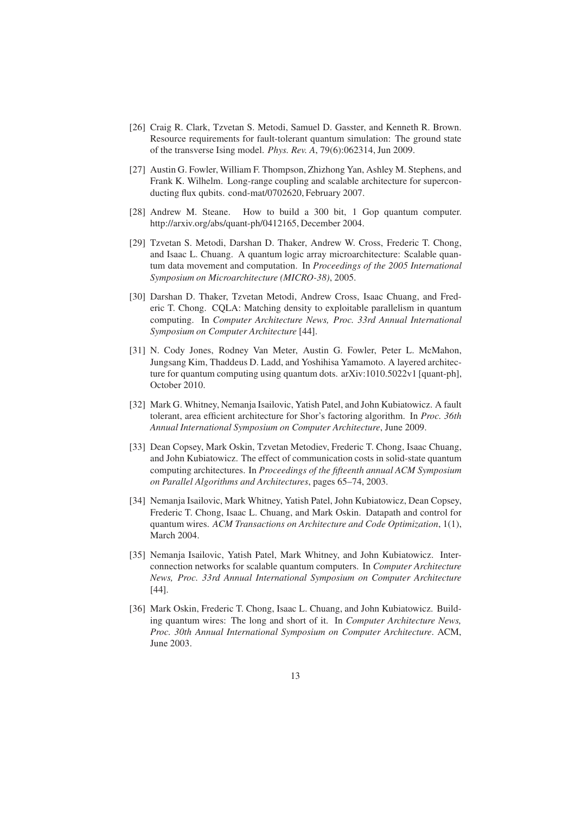- [26] Craig R. Clark, Tzvetan S. Metodi, Samuel D. Gasster, and Kenneth R. Brown. Resource requirements for fault-tolerant quantum simulation: The ground state of the transverse Ising model. *Phys. Rev. A*, 79(6):062314, Jun 2009.
- [27] Austin G. Fowler, William F. Thompson, Zhizhong Yan, Ashley M. Stephens, and Frank K. Wilhelm. Long-range coupling and scalable architecture for superconducting flux qubits. cond-mat/0702620, February 2007.
- [28] Andrew M. Steane. How to build a 300 bit, 1 Gop quantum computer. http://arxiv.org/abs/quant-ph/0412165, December 2004.
- [29] Tzvetan S. Metodi, Darshan D. Thaker, Andrew W. Cross, Frederic T. Chong, and Isaac L. Chuang. A quantum logic array microarchitecture: Scalable quantum data movement and computation. In *Proceedings of the 2005 International Symposium on Microarchitecture (MICRO-38)*, 2005.
- [30] Darshan D. Thaker, Tzvetan Metodi, Andrew Cross, Isaac Chuang, and Frederic T. Chong. CQLA: Matching density to exploitable parallelism in quantum computing. In *Computer Architecture News, Proc. 33rd Annual International Symposium on Computer Architecture* [44].
- [31] N. Cody Jones, Rodney Van Meter, Austin G. Fowler, Peter L. McMahon, Jungsang Kim, Thaddeus D. Ladd, and Yoshihisa Yamamoto. A layered architecture for quantum computing using quantum dots. arXiv:1010.5022v1 [quant-ph], October 2010.
- [32] Mark G. Whitney, Nemanja Isailovic, Yatish Patel, and John Kubiatowicz. A fault tolerant, area efficient architecture for Shor's factoring algorithm. In *Proc. 36th Annual International Symposium on Computer Architecture*, June 2009.
- [33] Dean Copsey, Mark Oskin, Tzvetan Metodiev, Frederic T. Chong, Isaac Chuang, and John Kubiatowicz. The effect of communication costs in solid-state quantum computing architectures. In *Proceedings of the fifteenth annual ACM Symposium on Parallel Algorithms and Architectures*, pages 65–74, 2003.
- [34] Nemanja Isailovic, Mark Whitney, Yatish Patel, John Kubiatowicz, Dean Copsey, Frederic T. Chong, Isaac L. Chuang, and Mark Oskin. Datapath and control for quantum wires. *ACM Transactions on Architecture and Code Optimization*, 1(1), March 2004.
- [35] Nemanja Isailovic, Yatish Patel, Mark Whitney, and John Kubiatowicz. Interconnection networks for scalable quantum computers. In *Computer Architecture News, Proc. 33rd Annual International Symposium on Computer Architecture* [44].
- [36] Mark Oskin, Frederic T. Chong, Isaac L. Chuang, and John Kubiatowicz. Building quantum wires: The long and short of it. In *Computer Architecture News, Proc. 30th Annual International Symposium on Computer Architecture*. ACM, June 2003.